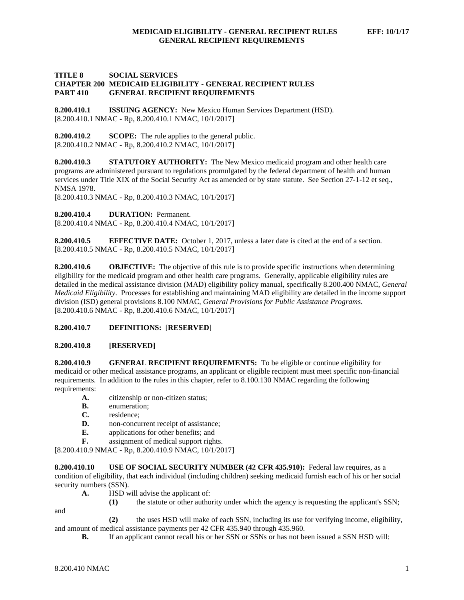# **TITLE 8 SOCIAL SERVICES CHAPTER 200 MEDICAID ELIGIBILITY - GENERAL RECIPIENT RULES PART 410 GENERAL RECIPIENT REQUIREMENTS**

**8.200.410.1 ISSUING AGENCY:** New Mexico Human Services Department (HSD). [8.200.410.1 NMAC - Rp, 8.200.410.1 NMAC, 10/1/2017]

**8.200.410.2 SCOPE:** The rule applies to the general public. [8.200.410.2 NMAC - Rp, 8.200.410.2 NMAC, 10/1/2017]

**8.200.410.3 STATUTORY AUTHORITY:** The New Mexico medicaid program and other health care programs are administered pursuant to regulations promulgated by the federal department of health and human services under Title XIX of the Social Security Act as amended or by state statute. See Section 27-1-12 et seq., NMSA 1978.

[8.200.410.3 NMAC - Rp, 8.200.410.3 NMAC, 10/1/2017]

**8.200.410.4 DURATION:** Permanent.

[8.200.410.4 NMAC - Rp, 8.200.410.4 NMAC, 10/1/2017]

**8.200.410.5 EFFECTIVE DATE:** October 1, 2017, unless a later date is cited at the end of a section. [8.200.410.5 NMAC - Rp, 8.200.410.5 NMAC, 10/1/2017]

**8.200.410.6 OBJECTIVE:** The objective of this rule is to provide specific instructions when determining eligibility for the medicaid program and other health care programs. Generally, applicable eligibility rules are detailed in the medical assistance division (MAD) eligibility policy manual, specifically 8.200.400 NMAC, *General Medicaid Eligibility*. Processes for establishing and maintaining MAD eligibility are detailed in the income support division (ISD) general provisions 8.100 NMAC, *General Provisions for Public Assistance Programs*. [8.200.410.6 NMAC - Rp, 8.200.410.6 NMAC, 10/1/2017]

#### **8.200.410.7 DEFINITIONS:** [**RESERVED**]

#### **8.200.410.8 [RESERVED]**

**8.200.410.9 GENERAL RECIPIENT REQUIREMENTS:** To be eligible or continue eligibility for medicaid or other medical assistance programs, an applicant or eligible recipient must meet specific non-financial requirements. In addition to the rules in this chapter, refer to 8.100.130 NMAC regarding the following requirements:

- **A.** citizenship or non-citizen status;
- **B.** enumeration;
- **C.** residence;
- **D.** non-concurrent receipt of assistance;
- **E.** applications for other benefits; and
- **F.** assignment of medical support rights.

[8.200.410.9 NMAC - Rp, 8.200.410.9 NMAC, 10/1/2017]

**8.200.410.10 USE OF SOCIAL SECURITY NUMBER (42 CFR 435.910):** Federal law requires, as a condition of eligibility, that each individual (including children) seeking medicaid furnish each of his or her social security numbers (SSN).

- **A.** HSD will advise the applicant of:
	- **(1)** the statute or other authority under which the agency is requesting the applicant's SSN;

and

**(2)** the uses HSD will make of each SSN, including its use for verifying income, eligibility, and amount of medical assistance payments per 42 CFR 435.940 through 435.960.

**B.** If an applicant cannot recall his or her SSN or SSNs or has not been issued a SSN HSD will: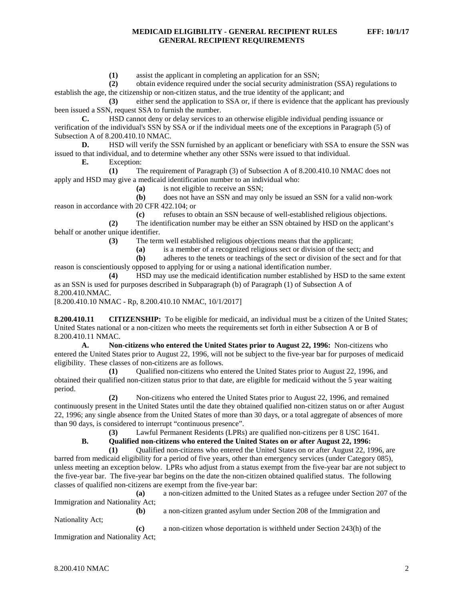**(1)** assist the applicant in completing an application for an SSN;

**(2)** obtain evidence required under the social security administration (SSA) regulations to establish the age, the citizenship or non-citizen status, and the true identity of the applicant; and

**(3)** either send the application to SSA or, if there is evidence that the applicant has previously been issued a SSN, request SSA to furnish the number.

**C.** HSD cannot deny or delay services to an otherwise eligible individual pending issuance or verification of the individual's SSN by SSA or if the individual meets one of the exceptions in Paragraph (5) of Subsection A of 8.200.410.10 NMAC.

**D.** HSD will verify the SSN furnished by an applicant or beneficiary with SSA to ensure the SSN was issued to that individual, and to determine whether any other SSNs were issued to that individual.

**E.** Exception:

**(1)** The requirement of Paragraph (3) of Subsection A of 8.200.410.10 NMAC does not apply and HSD may give a medicaid identification number to an individual who:

(a) is not eligible to receive an SSN;<br>(b) does not have an SSN and may of

**(b)** does not have an SSN and may only be issued an SSN for a valid non-work reason in accordance with 20 CFR 422.104; or

**(c)** refuses to obtain an SSN because of well-established religious objections.

**(2)** The identification number may be either an SSN obtained by HSD on the applicant's behalf or another unique identifier.

**(3)** The term well established religious objections means that the applicant;

**(a)** is a member of a recognized religious sect or division of the sect; and

**(b)** adheres to the tenets or teachings of the sect or division of the sect and for that reason is conscientiously opposed to applying for or using a national identification number.

**(4)** HSD may use the medicaid identification number established by HSD to the same extent as an SSN is used for purposes described in Subparagraph (b) of Paragraph (1) of Subsection A of 8.200.410.NMAC.

[8.200.410.10 NMAC - Rp, 8.200.410.10 NMAC, 10/1/2017]

**8.200.410.11 CITIZENSHIP:** To be eligible for medicaid, an individual must be a citizen of the United States; United States national or a non-citizen who meets the requirements set forth in either Subsection A or B of 8.200.410.11 NMAC.

**A. Non-citizens who entered the United States prior to August 22, 1996:** Non-citizens who entered the United States prior to August 22, 1996, will not be subject to the five-year bar for purposes of medicaid eligibility. These classes of non-citizens are as follows.

**(1)** Qualified non-citizens who entered the United States prior to August 22, 1996, and obtained their qualified non-citizen status prior to that date, are eligible for medicaid without the 5 year waiting period.

**(2)** Non-citizens who entered the United States prior to August 22, 1996, and remained continuously present in the United States until the date they obtained qualified non-citizen status on or after August 22, 1996; any single absence from the United States of more than 30 days, or a total aggregate of absences of more than 90 days, is considered to interrupt "continuous presence".

**(3)** Lawful Permanent Residents (LPRs) are qualified non-citizens per 8 USC 1641.

**B. Qualified non-citizens who entered the United States on or after August 22, 1996:**

**(1)** Qualified non-citizens who entered the United States on or after August 22, 1996, are barred from medicaid eligibility for a period of five years, other than emergency services (under Category 085), unless meeting an exception below. LPRs who adjust from a status exempt from the five-year bar are not subject to the five-year bar. The five-year bar begins on the date the non-citizen obtained qualified status. The following classes of qualified non-citizens are exempt from the five-year bar:

**(a)** a non-citizen admitted to the United States as a refugee under Section 207 of the Immigration and Nationality Act;

**(b)** a non-citizen granted asylum under Section 208 of the Immigration and Nationality Act;

**(c)** a non-citizen whose deportation is withheld under Section 243(h) of the Immigration and Nationality Act;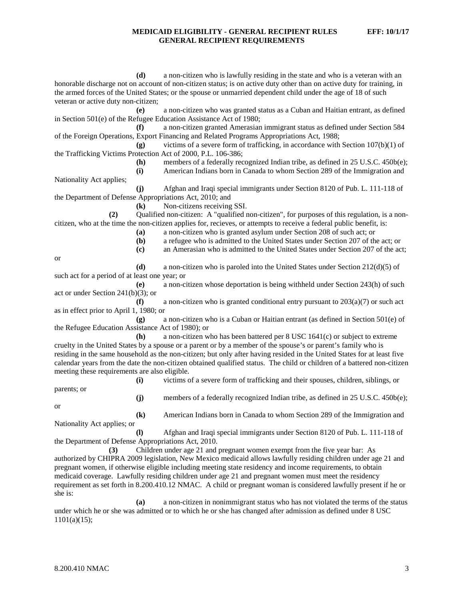**(d)** a non-citizen who is lawfully residing in the state and who is a veteran with an honorable discharge not on account of non-citizen status; is on active duty other than on active duty for training, in the armed forces of the United States; or the spouse or unmarried dependent child under the age of 18 of such veteran or active duty non-citizen;

**(e)** a non-citizen who was granted status as a Cuban and Haitian entrant, as defined in Section 501(e) of the Refugee Education Assistance Act of 1980;

**(f)** a non-citizen granted Amerasian immigrant status as defined under Section 584 of the Foreign Operations, Export Financing and Related Programs Appropriations Act, 1988;<br>(g) victims of a severe form of trafficking, in accordance with

victims of a severe form of trafficking, in accordance with Section 107(b)(1) of the Trafficking Victims Protection Act of 2000, P.L. 106-386;

**(h)** members of a federally recognized Indian tribe, as defined in 25 U.S.C. 450b(e);<br>**(i)** American Indians born in Canada to whom Section 289 of the Immigration and

**(i)** American Indians born in Canada to whom Section 289 of the Immigration and

Nationality Act applies;

**(j)** Afghan and Iraqi special immigrants under Section 8120 of Pub. L. 111-118 of the Department of Defense Appropriations Act, 2010; and

**(k)** Non-citizens receiving SSI.

**(2)** Qualified non-citizen: A "qualified non-citizen", for purposes of this regulation, is a noncitizen, who at the time the non-citizen applies for, recieves, or attempts to receive a federal public benefit, is:

**(a)** a non-citizen who is granted asylum under Section 208 of such act; or

**(b)** a refugee who is admitted to the United States under Section 207 of the act; or

**(c)** an Amerasian who is admitted to the United States under Section 207 of the act;

or

**(d)** a non-citizen who is paroled into the United States under Section 212(d)(5) of such act for a period of at least one year; or

**(e)** a non-citizen whose deportation is being withheld under Section 243(h) of such act or under Section 241(b)(3); or

**(f)** a non-citizen who is granted conditional entry pursuant to  $203(a)(7)$  or such act as in effect prior to April 1, 1980; or

**(g)** a non-citizen who is a Cuban or Haitian entrant (as defined in Section 501(e) of the Refugee Education Assistance Act of 1980); or

**(h)** a non-citizen who has been battered per 8 USC 1641(c) or subject to extreme cruelty in the United States by a spouse or a parent or by a member of the spouse's or parent's family who is residing in the same household as the non-citizen; but only after having resided in the United States for at least five calendar years from the date the non-citizen obtained qualified status. The child or children of a battered non-citizen meeting these requirements are also eligible.

parents; or

**(i)** victims of a severe form of trafficking and their spouses, children, siblings, or

or

**(j)** members of a federally recognized Indian tribe, as defined in 25 U.S.C. 450b(e); **(k)** American Indians born in Canada to whom Section 289 of the Immigration and

Nationality Act applies; or **(l)** Afghan and Iraqi special immigrants under Section 8120 of Pub. L. 111-118 of

the Department of Defense Appropriations Act, 2010.

**(3)** Children under age 21 and pregnant women exempt from the five year bar: As authorized by CHIPRA 2009 legislation, New Mexico medicaid allows lawfully residing children under age 21 and pregnant women, if otherwise eligible including meeting state residency and income requirements, to obtain medicaid coverage. Lawfully residing children under age 21 and pregnant women must meet the residency requirement as set forth in 8.200.410.12 NMAC. A child or pregnant woman is considered lawfully present if he or she is:

**(a)** a non-citizen in nonimmigrant status who has not violated the terms of the status under which he or she was admitted or to which he or she has changed after admission as defined under 8 USC  $1101(a)(15);$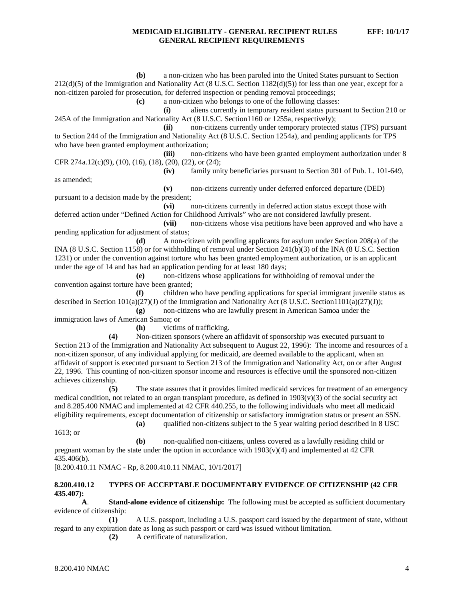**(b)** a non-citizen who has been paroled into the United States pursuant to Section 212(d)(5) of the Immigration and Nationality Act (8 U.S.C. Section 1182(d)(5)) for less than one year, except for a non-citizen paroled for prosecution, for deferred inspection or pending removal proceedings; **(c)** a non-citizen who belongs to one of the following classes: **(i)** aliens currently in temporary resident status pursuant to Section 210 or 245A of the Immigration and Nationality Act (8 U.S.C. Section1160 or 1255a, respectively); **(ii)** non-citizens currently under temporary protected status (TPS) pursuant to Section 244 of the Immigration and Nationality Act (8 U.S.C. Section 1254a), and pending applicants for TPS who have been granted employment authorization; **(iii)** non-citizens who have been granted employment authorization under 8 CFR 274a.12(c)(9), (10), (16), (18), (20), (22), or (24);<br>(iv) family uni family unity beneficiaries pursuant to Section 301 of Pub. L. 101-649, as amended; **(v)** non-citizens currently under deferred enforced departure (DED) pursuant to a decision made by the president; **(vi)** non-citizens currently in deferred action status except those with deferred action under "Defined Action for Childhood Arrivals" who are not considered lawfully present. **(vii)** non-citizens whose visa petitions have been approved and who have a pending application for adjustment of status; **(d)** A non-citizen with pending applicants for asylum under Section 208(a) of the INA (8 U.S.C. Section 1158) or for withholding of removal under Section 241(b)(3) of the INA (8 U.S.C. Section 1231) or under the convention against torture who has been granted employment authorization, or is an applicant under the age of 14 and has had an application pending for at least 180 days; **(e)** non-citizens whose applications for withholding of removal under the convention against torture have been granted; **(f)** children who have pending applications for special immigrant juvenile status as described in Section  $101(a)(27)(J)$  of the Immigration and Nationality Act (8 U.S.C. Section1101(a)(27)(J)); **(g)** non-citizens who are lawfully present in American Samoa under the immigration laws of American Samoa; or **(h)** victims of trafficking. **(4)** Non-citizen sponsors (where an affidavit of sponsorship was executed pursuant to Section 213 of the Immigration and Nationality Act subsequent to August 22, 1996): The income and resources of a non-citizen sponsor, of any individual applying for medicaid, are deemed available to the applicant, when an affidavit of support is executed pursuant to Section 213 of the Immigration and Nationality Act, on or after August 22, 1996. This counting of non-citizen sponsor income and resources is effective until the sponsored non-citizen achieves citizenship. **(5)** The state assures that it provides limited medicaid services for treatment of an emergency medical condition, not related to an organ transplant procedure, as defined in  $1903(v)(3)$  of the social security act and 8.285.400 NMAC and implemented at 42 CFR 440.255, to the following individuals who meet all medicaid eligibility requirements, except documentation of citizenship or satisfactory immigration status or present an SSN. **(a)** qualified non-citizens subject to the 5 year waiting period described in 8 USC 1613; or

**(b)** non-qualified non-citizens, unless covered as a lawfully residing child or pregnant woman by the state under the option in accordance with  $1903(v)(4)$  and implemented at 42 CFR 435.406(b).

[8.200.410.11 NMAC - Rp, 8.200.410.11 NMAC, 10/1/2017]

#### **8.200.410.12 TYPES OF ACCEPTABLE DOCUMENTARY EVIDENCE OF CITIZENSHIP (42 CFR 435.407):**

**A**. **Stand-alone evidence of citizenship:** The following must be accepted as sufficient documentary evidence of citizenship:

**(1)** A U.S. passport, including a U.S. passport card issued by the department of state, without regard to any expiration date as long as such passport or card was issued without limitation.

**(2)** A certificate of naturalization.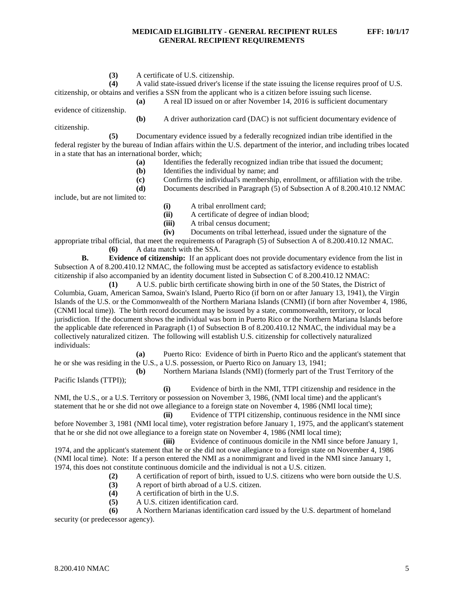**(3)** A certificate of U.S. citizenship.

**(4)** A valid state-issued driver's license if the state issuing the license requires proof of U.S. citizenship, or obtains and verifies a SSN from the applicant who is a citizen before issuing such license.

**(a)** A real ID issued on or after November 14, 2016 is sufficient documentary

evidence of citizenship.

**(b)** A driver authorization card (DAC) is not sufficient documentary evidence of

citizenship.

**(5)** Documentary evidence issued by a federally recognized indian tribe identified in the federal register by the bureau of Indian affairs within the U.S. department of the interior, and including tribes located in a state that has an international border, which;

- **(a)** Identifies the federally recognized indian tribe that issued the document;<br>**(b)** Identifies the individual by name; and
- **(b)** Identifies the individual by name; and
- **(c)** Confirms the individual's membership, enrollment, or affiliation with the tribe.

**(d)** Documents described in Paragraph (5) of Subsection A of 8.200.410.12 NMAC

include, but are not limited to:

- **(i)** A tribal enrollment card;
- **(ii)** A certificate of degree of indian blood;
- **(iii)** A tribal census document;
- **(iv)** Documents on tribal letterhead, issued under the signature of the

appropriate tribal official, that meet the requirements of Paragraph (5) of Subsection A of 8.200.410.12 NMAC. **(6)** A data match with the SSA.

**B. Evidence of citizenship:** If an applicant does not provide documentary evidence from the list in Subsection A of 8.200.410.12 NMAC, the following must be accepted as satisfactory evidence to establish citizenship if also accompanied by an identity document listed in Subsection C of 8.200.410.12 NMAC:

**(1)** A U.S. public birth certificate showing birth in one of the 50 States, the District of Columbia, Guam, American Samoa, Swain's Island, Puerto Rico (if born on or after January 13, 1941), the Virgin Islands of the U.S. or the Commonwealth of the Northern Mariana Islands (CNMI) (if born after November 4, 1986, (CNMI local time)). The birth record document may be issued by a state, commonwealth, territory, or local jurisdiction. If the document shows the individual was born in Puerto Rico or the Northern Mariana Islands before the applicable date referenced in Paragraph (1) of Subsection B of 8.200.410.12 NMAC, the individual may be a collectively naturalized citizen. The following will establish U.S. citizenship for collectively naturalized individuals:

**(a)** Puerto Rico: Evidence of birth in Puerto Rico and the applicant's statement that he or she was residing in the U.S., a U.S. possession, or Puerto Rico on January 13, 1941;

**(b)** Northern Mariana Islands (NMI) (formerly part of the Trust Territory of the Pacific Islands (TTPI));

**(i)** Evidence of birth in the NMI, TTPI citizenship and residence in the NMI, the U.S., or a U.S. Territory or possession on November 3, 1986, (NMI local time) and the applicant's statement that he or she did not owe allegiance to a foreign state on November 4, 1986 (NMI local time);

**(ii)** Evidence of TTPI citizenship, continuous residence in the NMI since before November 3, 1981 (NMI local time), voter registration before January 1, 1975, and the applicant's statement that he or she did not owe allegiance to a foreign state on November 4, 1986 (NMI local time);

**(iii)** Evidence of continuous domicile in the NMI since before January 1, 1974, and the applicant's statement that he or she did not owe allegiance to a foreign state on November 4, 1986 (NMI local time). Note: If a person entered the NMI as a nonimmigrant and lived in the NMI since January 1, 1974, this does not constitute continuous domicile and the individual is not a U.S. citizen.

**(2)** A certification of report of birth, issued to U.S. citizens who were born outside the U.S.

- **(3)** A report of birth abroad of a U.S. citizen.
- **(4)** A certification of birth in the U.S.
- **(5)** A U.S. citizen identification card.

**(6)** A Northern Marianas identification card issued by the U.S. department of homeland security (or predecessor agency).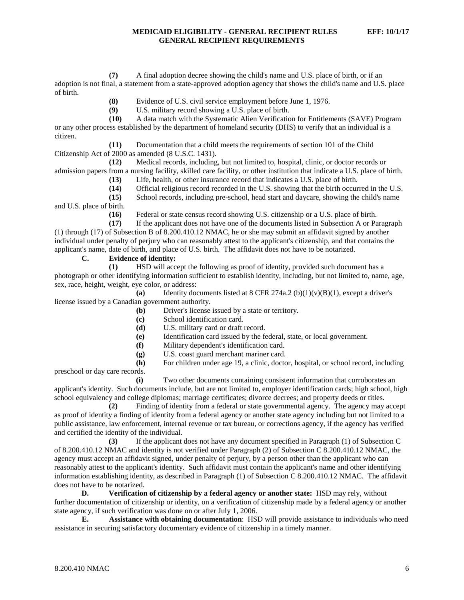**(7)** A final adoption decree showing the child's name and U.S. place of birth, or if an adoption is not final, a statement from a state-approved adoption agency that shows the child's name and U.S. place of birth.

- **(8)** Evidence of U.S. civil service employment before June 1, 1976.
- **(9)** U.S. military record showing a U.S. place of birth.

**(10)** A data match with the Systematic Alien Verification for Entitlements (SAVE) Program or any other process established by the department of homeland security (DHS) to verify that an individual is a citizen.

**(11)** Documentation that a child meets the requirements of section 101 of the Child Citizenship Act of 2000 as amended (8 U.S.C. 1431).

**(12)** Medical records, including, but not limited to, hospital, clinic, or doctor records or admission papers from a nursing facility, skilled care facility, or other institution that indicate a U.S. place of birth.

**(13)** Life, health, or other insurance record that indicates a U.S. place of birth.

(14) Official religious record recorded in the U.S. showing that the birth occurred in the U.S. (15) School records, including pre-school, head start and daycare, showing the child's name

**(15)** School records, including pre-school, head start and daycare, showing the child's name and U.S. place of birth.

**(16)** Federal or state census record showing U.S. citizenship or a U.S. place of birth.

**(17)** If the applicant does not have one of the documents listed in Subsection A or Paragraph (1) through (17) of Subsection B of 8.200.410.12 NMAC, he or she may submit an affidavit signed by another individual under penalty of perjury who can reasonably attest to the applicant's citizenship, and that contains the applicant's name, date of birth, and place of U.S. birth. The affidavit does not have to be notarized.

### **C. Evidence of identity:**

**(1)** HSD will accept the following as proof of identity, provided such document has a photograph or other identifying information sufficient to establish identity, including, but not limited to, name, age, sex, race, height, weight, eye color, or address:

**(a)** Identity documents listed at 8 CFR 274a.2 (b)(1)(v)(B)(1), except a driver's license issued by a Canadian government authority.

- **(b)** Driver's license issued by a state or territory.
- **(c)** School identification card.
- **(d)** U.S. military card or draft record.
- **(e)** Identification card issued by the federal, state, or local government.
- **(f)** Military dependent's identification card.
- **(g)** U.S. coast guard merchant mariner card.

**(h)** For children under age 19, a clinic, doctor, hospital, or school record, including preschool or day care records.

**(i)** Two other documents containing consistent information that corroborates an applicant's identity. Such documents include, but are not limited to, employer identification cards; high school, high school equivalency and college diplomas; marriage certificates; divorce decrees; and property deeds or titles.

**(2)** Finding of identity from a federal or state governmental agency. The agency may accept as proof of identity a finding of identity from a federal agency or another state agency including but not limited to a public assistance, law enforcement, internal revenue or tax bureau, or corrections agency, if the agency has verified and certified the identity of the individual.

**(3)** If the applicant does not have any document specified in Paragraph (1) of Subsection C of 8.200.410.12 NMAC and identity is not verified under Paragraph (2) of Subsection C 8.200.410.12 NMAC, the agency must accept an affidavit signed, under penalty of perjury, by a person other than the applicant who can reasonably attest to the applicant's identity. Such affidavit must contain the applicant's name and other identifying information establishing identity, as described in Paragraph (1) of Subsection C 8.200.410.12 NMAC. The affidavit does not have to be notarized.

**D. Verification of citizenship by a federal agency or another state:** HSD may rely, without further documentation of citizenship or identity, on a verification of citizenship made by a federal agency or another state agency, if such verification was done on or after July 1, 2006.

**E. Assistance with obtaining documentation**: HSD will provide assistance to individuals who need assistance in securing satisfactory documentary evidence of citizenship in a timely manner.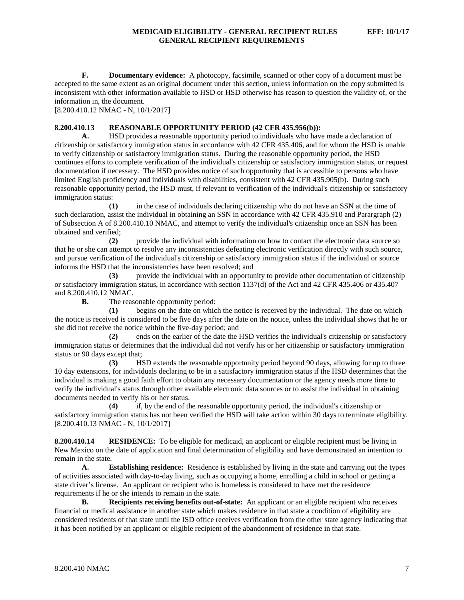**F. Documentary evidence:** A photocopy, facsimile, scanned or other copy of a document must be accepted to the same extent as an original document under this section, unless information on the copy submitted is inconsistent with other information available to HSD or HSD otherwise has reason to question the validity of, or the information in, the document.

[8.200.410.12 NMAC - N, 10/1/2017]

#### **8.200.410.13 REASONABLE OPPORTUNITY PERIOD (42 CFR 435.956(b)):**

**A.** HSD provides a reasonable opportunity period to individuals who have made a declaration of citizenship or satisfactory immigration status in accordance with 42 CFR 435.406, and for whom the HSD is unable to verify citizenship or satisfactory immigration status. During the reasonable opportunity period, the HSD continues efforts to complete verification of the individual's citizenship or satisfactory immigration status, or request documentation if necessary. The HSD provides notice of such opportunity that is accessible to persons who have limited English proficiency and individuals with disabilities, consistent with 42 CFR 435.905(b). During such reasonable opportunity period, the HSD must, if relevant to verification of the individual's citizenship or satisfactory immigration status:

**(1)** in the case of individuals declaring citizenship who do not have an SSN at the time of such declaration, assist the individual in obtaining an SSN in accordance with 42 CFR 435.910 and Parargraph (2) of Subsection A of 8.200.410.10 NMAC, and attempt to verify the individual's citizenship once an SSN has been obtained and verified;

**(2)** provide the individual with information on how to contact the electronic data source so that he or she can attempt to resolve any inconsistencies defeating electronic verification directly with such source, and pursue verification of the individual's citizenship or satisfactory immigration status if the individual or source informs the HSD that the inconsistencies have been resolved; and

**(3)** provide the individual with an opportunity to provide other documentation of citizenship or satisfactory immigration status, in accordance with section 1137(d) of the Act and 42 CFR 435.406 or 435.407 and 8.200.410.12 NMAC.

**B.** The reasonable opportunity period:

**(1)** begins on the date on which the notice is received by the individual. The date on which the notice is received is considered to be five days after the date on the notice, unless the individual shows that he or she did not receive the notice within the five-day period; and

**(2)** ends on the earlier of the date the HSD verifies the individual's citizenship or satisfactory immigration status or determines that the individual did not verify his or her citizenship or satisfactory immigration status or 90 days except that;

**(3)** HSD extends the reasonable opportunity period beyond 90 days, allowing for up to three 10 day extensions, for individuals declaring to be in a satisfactory immigration status if the HSD determines that the individual is making a good faith effort to obtain any necessary documentation or the agency needs more time to verify the individual's status through other available electronic data sources or to assist the individual in obtaining documents needed to verify his or her status.

**(4)** if, by the end of the reasonable opportunity period, the individual's citizenship or satisfactory immigration status has not been verified the HSD will take action within 30 days to terminate eligibility. [8.200.410.13 NMAC - N, 10/1/2017]

**8.200.410.14 RESIDENCE:** To be eligible for medicaid, an applicant or eligible recipient must be living in New Mexico on the date of application and final determination of eligibility and have demonstrated an intention to remain in the state.

**A. Establishing residence:** Residence is established by living in the state and carrying out the types of activities associated with day-to-day living, such as occupying a home, enrolling a child in school or getting a state driver's license. An applicant or recipient who is homeless is considered to have met the residence requirements if he or she intends to remain in the state.

**B. Recipients receiving benefits out-of-state:** An applicant or an eligible recipient who receives financial or medical assistance in another state which makes residence in that state a condition of eligibility are considered residents of that state until the ISD office receives verification from the other state agency indicating that it has been notified by an applicant or eligible recipient of the abandonment of residence in that state.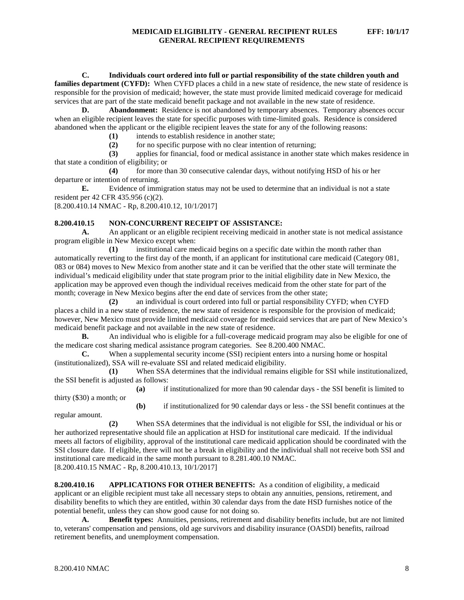**C. Individuals court ordered into full or partial responsibility of the state children youth and families department (CYFD):** When CYFD places a child in a new state of residence, the new state of residence is responsible for the provision of medicaid; however, the state must provide limited medicaid coverage for medicaid services that are part of the state medicaid benefit package and not available in the new state of residence.

**D. Abandonment:** Residence is not abandoned by temporary absences. Temporary absences occur when an eligible recipient leaves the state for specific purposes with time-limited goals. Residence is considered abandoned when the applicant or the eligible recipient leaves the state for any of the following reasons:

**(1)** intends to establish residence in another state;

**(2)** for no specific purpose with no clear intention of returning;

**(3)** applies for financial, food or medical assistance in another state which makes residence in that state a condition of eligibility; or<br>(4) for more the

**(4)** for more than 30 consecutive calendar days, without notifying HSD of his or her departure or intention of returning.

**E.** Evidence of immigration status may not be used to determine that an individual is not a state resident per 42 CFR 435.956 (c)(2).

[8.200.410.14 NMAC - Rp, 8.200.410.12, 10/1/2017]

# **8.200.410.15 NON-CONCURRENT RECEIPT OF ASSISTANCE:**

**A.** An applicant or an eligible recipient receiving medicaid in another state is not medical assistance program eligible in New Mexico except when:

**(1)** institutional care medicaid begins on a specific date within the month rather than automatically reverting to the first day of the month, if an applicant for institutional care medicaid (Category 081, 083 or 084) moves to New Mexico from another state and it can be verified that the other state will terminate the individual's medicaid eligibility under that state program prior to the initial eligibility date in New Mexico, the application may be approved even though the individual receives medicaid from the other state for part of the month; coverage in New Mexico begins after the end date of services from the other state;

**(2)** an individual is court ordered into full or partial responsibility CYFD; when CYFD places a child in a new state of residence, the new state of residence is responsible for the provision of medicaid; however, New Mexico must provide limited medicaid coverage for medicaid services that are part of New Mexico's medicaid benefit package and not available in the new state of residence.

**B.** An individual who is eligible for a full-coverage medicaid program may also be eligible for one of the medicare cost sharing medical assistance program categories. See 8.200.400 NMAC.

**C.** When a supplemental security income (SSI) recipient enters into a nursing home or hospital (institutionalized), SSA will re-evaluate SSI and related medicaid eligibility.

**(1)** When SSA determines that the individual remains eligible for SSI while institutionalized, the SSI benefit is adjusted as follows:

**(a)** if institutionalized for more than 90 calendar days - the SSI benefit is limited to thirty (\$30) a month; or

**(b)** if institutionalized for 90 calendar days or less - the SSI benefit continues at the regular amount.

**(2)** When SSA determines that the individual is not eligible for SSI, the individual or his or her authorized representative should file an application at HSD for institutional care medicaid. If the individual meets all factors of eligibility, approval of the institutional care medicaid application should be coordinated with the SSI closure date. If eligible, there will not be a break in eligibility and the individual shall not receive both SSI and institutional care medicaid in the same month pursuant to 8.281.400.10 NMAC. [8.200.410.15 NMAC - Rp, 8.200.410.13, 10/1/2017]

**8.200.410.16 APPLICATIONS FOR OTHER BENEFITS:** As a condition of eligibility, a medicaid applicant or an eligible recipient must take all necessary steps to obtain any annuities, pensions, retirement, and disability benefits to which they are entitled, within 30 calendar days from the date HSD furnishes notice of the potential benefit, unless they can show good cause for not doing so.

**A. Benefit types:** Annuities, pensions, retirement and disability benefits include, but are not limited to, veterans' compensation and pensions, old age survivors and disability insurance (OASDI) benefits, railroad retirement benefits, and unemployment compensation.